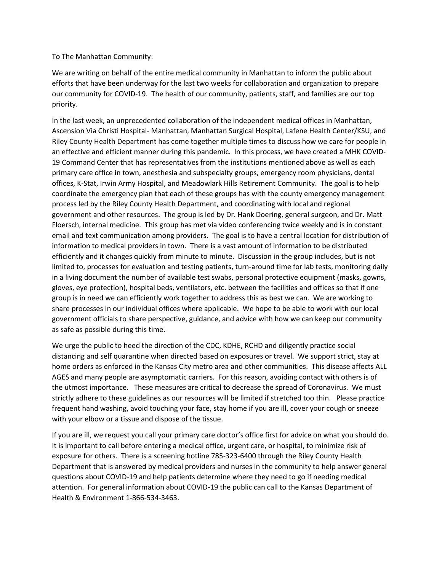To The Manhattan Community:

We are writing on behalf of the entire medical community in Manhattan to inform the public about efforts that have been underway for the last two weeks for collaboration and organization to prepare our community for COVID-19. The health of our community, patients, staff, and families are our top priority.

In the last week, an unprecedented collaboration of the independent medical offices in Manhattan, Ascension Via Christi Hospital- Manhattan, Manhattan Surgical Hospital, Lafene Health Center/KSU, and Riley County Health Department has come together multiple times to discuss how we care for people in an effective and efficient manner during this pandemic. In this process, we have created a MHK COVID-19 Command Center that has representatives from the institutions mentioned above as well as each primary care office in town, anesthesia and subspecialty groups, emergency room physicians, dental offices, K-Stat, Irwin Army Hospital, and Meadowlark Hills Retirement Community. The goal is to help coordinate the emergency plan that each of these groups has with the county emergency management process led by the Riley County Health Department, and coordinating with local and regional government and other resources. The group is led by Dr. Hank Doering, general surgeon, and Dr. Matt Floersch, internal medicine. This group has met via video conferencing twice weekly and is in constant email and text communication among providers. The goal is to have a central location for distribution of information to medical providers in town. There is a vast amount of information to be distributed efficiently and it changes quickly from minute to minute. Discussion in the group includes, but is not limited to, processes for evaluation and testing patients, turn-around time for lab tests, monitoring daily in a living document the number of available test swabs, personal protective equipment (masks, gowns, gloves, eye protection), hospital beds, ventilators, etc. between the facilities and offices so that if one group is in need we can efficiently work together to address this as best we can. We are working to share processes in our individual offices where applicable. We hope to be able to work with our local government officials to share perspective, guidance, and advice with how we can keep our community as safe as possible during this time.

We urge the public to heed the direction of the CDC, KDHE, RCHD and diligently practice social distancing and self quarantine when directed based on exposures or travel. We support strict, stay at home orders as enforced in the Kansas City metro area and other communities. This disease affects ALL AGES and many people are asymptomatic carriers. For this reason, avoiding contact with others is of the utmost importance. These measures are critical to decrease the spread of Coronavirus. We must strictly adhere to these guidelines as our resources will be limited if stretched too thin. Please practice frequent hand washing, avoid touching your face, stay home if you are ill, cover your cough or sneeze with your elbow or a tissue and dispose of the tissue.

If you are ill, we request you call your primary care doctor's office first for advice on what you should do. It is important to call before entering a medical office, urgent care, or hospital, to minimize risk of exposure for others. There is a screening hotline 785-323-6400 through the Riley County Health Department that is answered by medical providers and nurses in the community to help answer general questions about COVID-19 and help patients determine where they need to go if needing medical attention. For general information about COVID-19 the public can call to the Kansas Department of Health & Environment 1-866-534-3463.